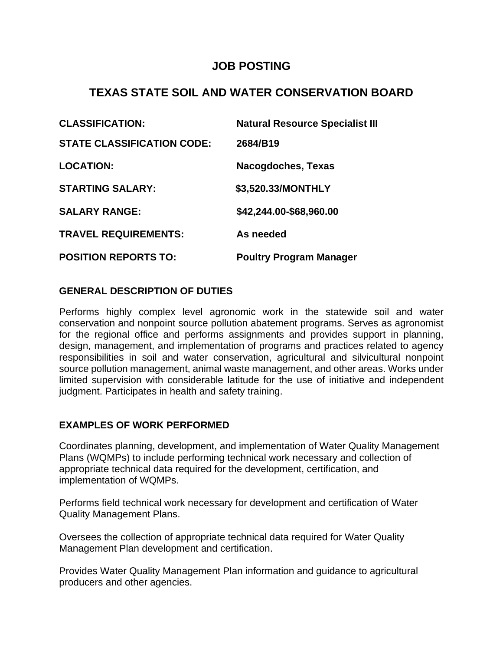## **JOB POSTING**

# **TEXAS STATE SOIL AND WATER CONSERVATION BOARD**

| <b>CLASSIFICATION:</b>            | <b>Natural Resource Specialist III</b> |
|-----------------------------------|----------------------------------------|
| <b>STATE CLASSIFICATION CODE:</b> | 2684/B19                               |
| <b>LOCATION:</b>                  | Nacogdoches, Texas                     |
| <b>STARTING SALARY:</b>           | \$3,520.33/MONTHLY                     |
| <b>SALARY RANGE:</b>              | \$42,244.00-\$68,960.00                |
| <b>TRAVEL REQUIREMENTS:</b>       | As needed                              |
| <b>POSITION REPORTS TO:</b>       | <b>Poultry Program Manager</b>         |

#### **GENERAL DESCRIPTION OF DUTIES**

Performs highly complex level agronomic work in the statewide soil and water conservation and nonpoint source pollution abatement programs. Serves as agronomist for the regional office and performs assignments and provides support in planning, design, management, and implementation of programs and practices related to agency responsibilities in soil and water conservation, agricultural and silvicultural nonpoint source pollution management, animal waste management, and other areas. Works under limited supervision with considerable latitude for the use of initiative and independent judgment. Participates in health and safety training.

## **EXAMPLES OF WORK PERFORMED**

Coordinates planning, development, and implementation of Water Quality Management Plans (WQMPs) to include performing technical work necessary and collection of appropriate technical data required for the development, certification, and implementation of WQMPs.

Performs field technical work necessary for development and certification of Water Quality Management Plans.

Oversees the collection of appropriate technical data required for Water Quality Management Plan development and certification.

Provides Water Quality Management Plan information and guidance to agricultural producers and other agencies.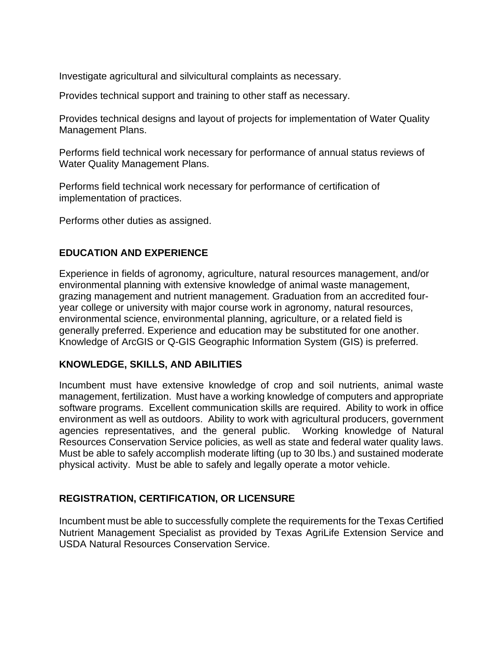Investigate agricultural and silvicultural complaints as necessary.

Provides technical support and training to other staff as necessary.

Provides technical designs and layout of projects for implementation of Water Quality Management Plans.

Performs field technical work necessary for performance of annual status reviews of Water Quality Management Plans.

Performs field technical work necessary for performance of certification of implementation of practices.

Performs other duties as assigned.

### **EDUCATION AND EXPERIENCE**

Experience in fields of agronomy, agriculture, natural resources management, and/or environmental planning with extensive knowledge of animal waste management, grazing management and nutrient management. Graduation from an accredited fouryear college or university with major course work in agronomy, natural resources, environmental science, environmental planning, agriculture, or a related field is generally preferred. Experience and education may be substituted for one another. Knowledge of ArcGIS or Q-GIS Geographic Information System (GIS) is preferred.

#### **KNOWLEDGE, SKILLS, AND ABILITIES**

Incumbent must have extensive knowledge of crop and soil nutrients, animal waste management, fertilization. Must have a working knowledge of computers and appropriate software programs. Excellent communication skills are required. Ability to work in office environment as well as outdoors. Ability to work with agricultural producers, government agencies representatives, and the general public. Working knowledge of Natural Resources Conservation Service policies, as well as state and federal water quality laws. Must be able to safely accomplish moderate lifting (up to 30 lbs.) and sustained moderate physical activity. Must be able to safely and legally operate a motor vehicle.

## **REGISTRATION, CERTIFICATION, OR LICENSURE**

Incumbent must be able to successfully complete the requirements for the Texas Certified Nutrient Management Specialist as provided by Texas AgriLife Extension Service and USDA Natural Resources Conservation Service.